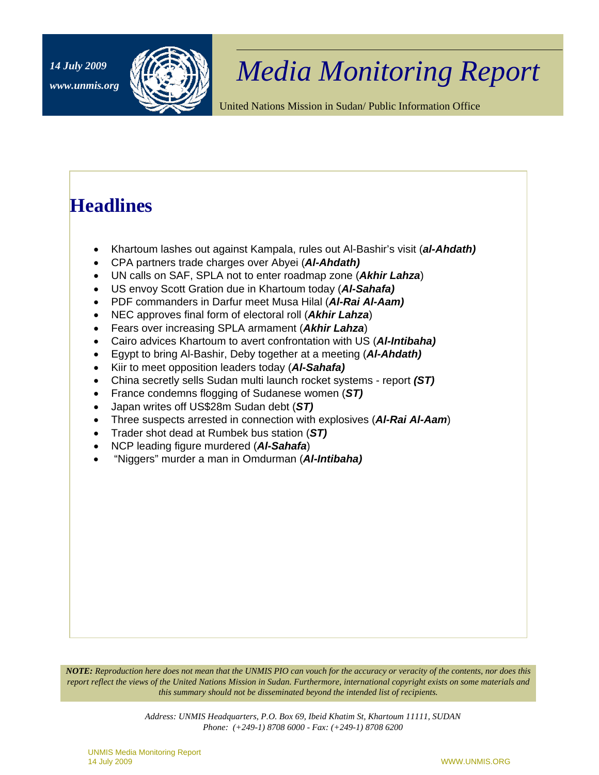

## *Media Monitoring Report 14 July 2009*

United Nations Mission in Sudan/ Public Information Office

### **Headlines**

- Khartoum lashes out against Kampala, rules out Al-Bashir's visit (*al-Ahdath)*
- CPA partners trade charges over Abyei (*Al-Ahdath)*
- UN calls on SAF, SPLA not to enter roadmap zone (*Akhir Lahza*)
- US envoy Scott Gration due in Khartoum today (*Al-Sahafa)*
- PDF commanders in Darfur meet Musa Hilal (*Al-Rai Al-Aam)*
- NEC approves final form of electoral roll (*Akhir Lahza*)
- Fears over increasing SPLA armament (*Akhir Lahza*)
- Cairo advices Khartoum to avert confrontation with US (*Al-Intibaha)*
- Egypt to bring Al-Bashir, Deby together at a meeting (*Al-Ahdath)*
- Kiir to meet opposition leaders today (*Al-Sahafa)*
- China secretly sells Sudan multi launch rocket systems report *(ST)*
- France condemns flogging of Sudanese women (*ST)*
- Japan writes off US\$28m Sudan debt (*ST)*
- Three suspects arrested in connection with explosives (*Al-Rai Al-Aam*)
- Trader shot dead at Rumbek bus station (*ST)*
- NCP leading figure murdered (*Al-Sahafa*)
- "Niggers" murder a man in Omdurman (*Al-Intibaha)*

*NOTE: Reproduction here does not mean that the UNMIS PIO can vouch for the accuracy or veracity of the contents, nor does this report reflect the views of the United Nations Mission in Sudan. Furthermore, international copyright exists on some materials and this summary should not be disseminated beyond the intended list of recipients.* 

> *Address: UNMIS Headquarters, P.O. Box 69, Ibeid Khatim St, Khartoum 11111, SUDAN Phone: (+249-1) 8708 6000 - Fax: (+249-1) 8708 6200*

UNMIS Media Monitoring Report 14 July 2009 WWW.UNMIS.ORG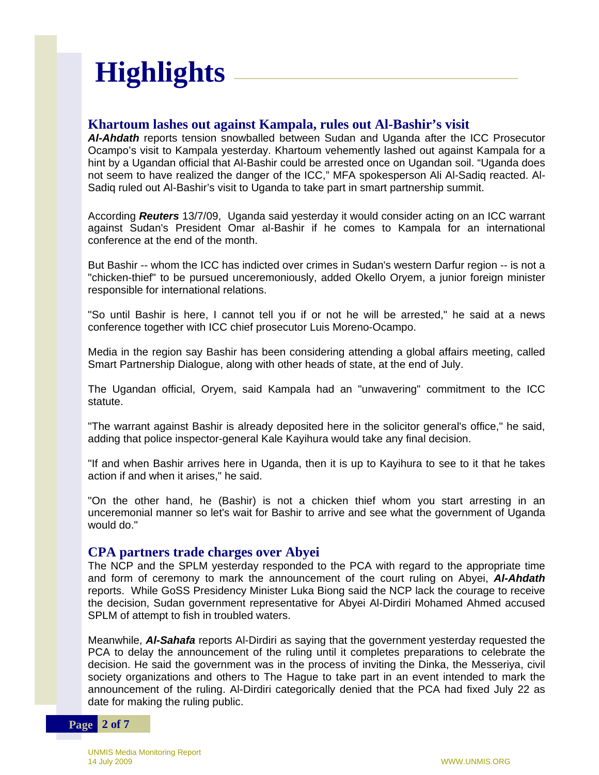# **Highlights**

#### **Khartoum lashes out against Kampala, rules out Al-Bashir's visit**

*Al-Ahdath* reports tension snowballed between Sudan and Uganda after the ICC Prosecutor Ocampo's visit to Kampala yesterday. Khartoum vehemently lashed out against Kampala for a hint by a Ugandan official that Al-Bashir could be arrested once on Ugandan soil. "Uganda does not seem to have realized the danger of the ICC," MFA spokesperson Ali Al-Sadiq reacted. Al-Sadiq ruled out Al-Bashir's visit to Uganda to take part in smart partnership summit.

According *Reuters* 13/7/09, Uganda said yesterday it would consider acting on an ICC warrant against Sudan's President Omar al-Bashir if he comes to Kampala for an international conference at the end of the month.

But Bashir -- whom the ICC has indicted over crimes in Sudan's western Darfur region -- is not a "chicken-thief" to be pursued unceremoniously, added Okello Oryem, a junior foreign minister responsible for international relations.

"So until Bashir is here, I cannot tell you if or not he will be arrested," he said at a news conference together with ICC chief prosecutor Luis Moreno-Ocampo.

Media in the region say Bashir has been considering attending a global affairs meeting, called Smart Partnership Dialogue, along with other heads of state, at the end of July.

The Ugandan official, Oryem, said Kampala had an "unwavering" commitment to the ICC statute.

"The warrant against Bashir is already deposited here in the solicitor general's office," he said, adding that police inspector-general Kale Kayihura would take any final decision.

"If and when Bashir arrives here in Uganda, then it is up to Kayihura to see to it that he takes action if and when it arises," he said.

"On the other hand, he (Bashir) is not a chicken thief whom you start arresting in an unceremonial manner so let's wait for Bashir to arrive and see what the government of Uganda would do."

#### **CPA partners trade charges over Abyei**

The NCP and the SPLM yesterday responded to the PCA with regard to the appropriate time and form of ceremony to mark the announcement of the court ruling on Abyei, *Al-Ahdath* reports. While GoSS Presidency Minister Luka Biong said the NCP lack the courage to receive the decision, Sudan government representative for Abyei Al-Dirdiri Mohamed Ahmed accused SPLM of attempt to fish in troubled waters.

Meanwhile, *Al-Sahafa* reports Al-Dirdiri as saying that the government yesterday requested the PCA to delay the announcement of the ruling until it completes preparations to celebrate the decision. He said the government was in the process of inviting the Dinka, the Messeriya, civil society organizations and others to The Hague to take part in an event intended to mark the announcement of the ruling. Al-Dirdiri categorically denied that the PCA had fixed July 22 as date for making the ruling public.

#### **Page 2 of 7**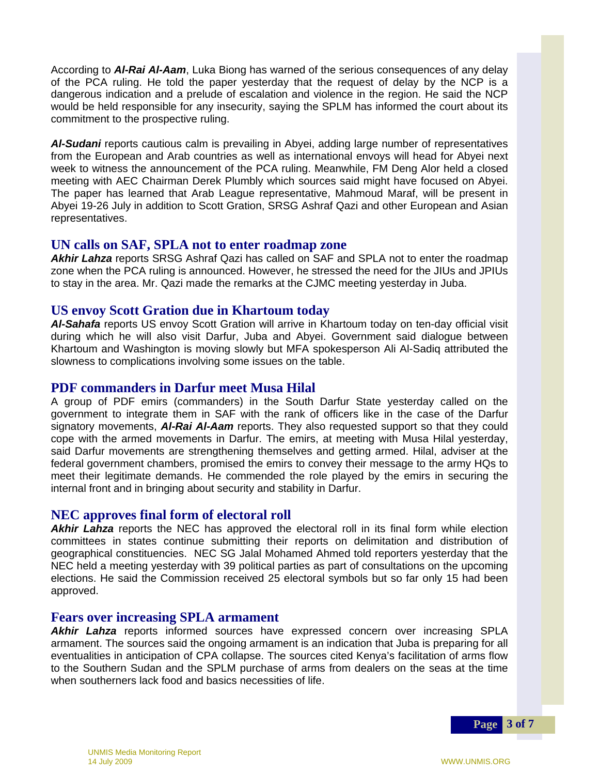According to *Al-Rai Al-Aam*, Luka Biong has warned of the serious consequences of any delay of the PCA ruling. He told the paper yesterday that the request of delay by the NCP is a dangerous indication and a prelude of escalation and violence in the region. He said the NCP would be held responsible for any insecurity, saying the SPLM has informed the court about its commitment to the prospective ruling.

*Al-Sudani* reports cautious calm is prevailing in Abyei, adding large number of representatives from the European and Arab countries as well as international envoys will head for Abyei next week to witness the announcement of the PCA ruling. Meanwhile, FM Deng Alor held a closed meeting with AEC Chairman Derek Plumbly which sources said might have focused on Abyei. The paper has learned that Arab League representative, Mahmoud Maraf, will be present in Abyei 19-26 July in addition to Scott Gration, SRSG Ashraf Qazi and other European and Asian representatives.

#### **UN calls on SAF, SPLA not to enter roadmap zone**

*Akhir Lahza* reports SRSG Ashraf Qazi has called on SAF and SPLA not to enter the roadmap zone when the PCA ruling is announced. However, he stressed the need for the JIUs and JPIUs to stay in the area. Mr. Qazi made the remarks at the CJMC meeting yesterday in Juba.

#### **US envoy Scott Gration due in Khartoum today**

*Al-Sahafa* reports US envoy Scott Gration will arrive in Khartoum today on ten-day official visit during which he will also visit Darfur, Juba and Abyei. Government said dialogue between Khartoum and Washington is moving slowly but MFA spokesperson Ali Al-Sadiq attributed the slowness to complications involving some issues on the table.

#### **PDF commanders in Darfur meet Musa Hilal**

A group of PDF emirs (commanders) in the South Darfur State yesterday called on the government to integrate them in SAF with the rank of officers like in the case of the Darfur signatory movements, *Al-Rai Al-Aam* reports. They also requested support so that they could cope with the armed movements in Darfur. The emirs, at meeting with Musa Hilal yesterday, said Darfur movements are strengthening themselves and getting armed. Hilal, adviser at the federal government chambers, promised the emirs to convey their message to the army HQs to meet their legitimate demands. He commended the role played by the emirs in securing the internal front and in bringing about security and stability in Darfur.

#### **NEC approves final form of electoral roll**

*Akhir Lahza* reports the NEC has approved the electoral roll in its final form while election committees in states continue submitting their reports on delimitation and distribution of geographical constituencies. NEC SG Jalal Mohamed Ahmed told reporters yesterday that the NEC held a meeting yesterday with 39 political parties as part of consultations on the upcoming elections. He said the Commission received 25 electoral symbols but so far only 15 had been approved.

#### **Fears over increasing SPLA armament**

*Akhir Lahza* reports informed sources have expressed concern over increasing SPLA armament. The sources said the ongoing armament is an indication that Juba is preparing for all eventualities in anticipation of CPA collapse. The sources cited Kenya's facilitation of arms flow to the Southern Sudan and the SPLM purchase of arms from dealers on the seas at the time when southerners lack food and basics necessities of life.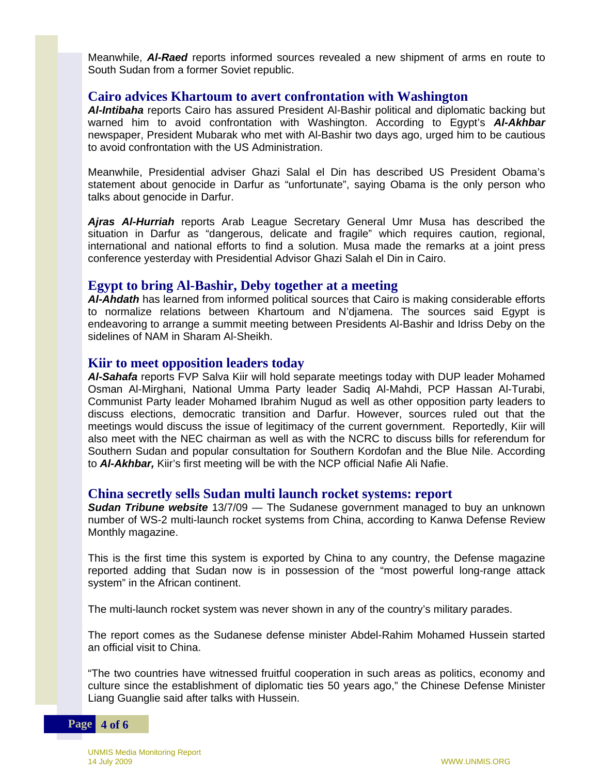Meanwhile, *Al-Raed* reports informed sources revealed a new shipment of arms en route to South Sudan from a former Soviet republic.

#### **Cairo advices Khartoum to avert confrontation with Washington**

*Al-Intibaha* reports Cairo has assured President Al-Bashir political and diplomatic backing but warned him to avoid confrontation with Washington. According to Egypt's *Al-Akhbar* newspaper, President Mubarak who met with Al-Bashir two days ago, urged him to be cautious to avoid confrontation with the US Administration.

Meanwhile, Presidential adviser Ghazi Salal el Din has described US President Obama's statement about genocide in Darfur as "unfortunate", saying Obama is the only person who talks about genocide in Darfur.

*Ajras Al-Hurriah* reports Arab League Secretary General Umr Musa has described the situation in Darfur as "dangerous, delicate and fragile" which requires caution, regional, international and national efforts to find a solution. Musa made the remarks at a joint press conference yesterday with Presidential Advisor Ghazi Salah el Din in Cairo.

#### **Egypt to bring Al-Bashir, Deby together at a meeting**

*Al-Ahdath* has learned from informed political sources that Cairo is making considerable efforts to normalize relations between Khartoum and N'djamena. The sources said Egypt is endeavoring to arrange a summit meeting between Presidents Al-Bashir and Idriss Deby on the sidelines of NAM in Sharam Al-Sheikh.

#### **Kiir to meet opposition leaders today**

*Al-Sahafa* reports FVP Salva Kiir will hold separate meetings today with DUP leader Mohamed Osman Al-Mirghani, National Umma Party leader Sadiq Al-Mahdi, PCP Hassan Al-Turabi, Communist Party leader Mohamed Ibrahim Nugud as well as other opposition party leaders to discuss elections, democratic transition and Darfur. However, sources ruled out that the meetings would discuss the issue of legitimacy of the current government. Reportedly, Kiir will also meet with the NEC chairman as well as with the NCRC to discuss bills for referendum for Southern Sudan and popular consultation for Southern Kordofan and the Blue Nile. According to *Al-Akhbar,* Kiir's first meeting will be with the NCP official Nafie Ali Nafie.

#### **China secretly sells Sudan multi launch rocket systems: report**

*Sudan Tribune website* 13/7/09 — The Sudanese government managed to buy an unknown number of WS-2 multi-launch rocket systems from China, according to Kanwa Defense Review Monthly magazine.

This is the first time this system is exported by China to any country, the Defense magazine reported adding that Sudan now is in possession of the "most powerful long-range attack system" in the African continent.

The multi-launch rocket system was never shown in any of the country's military parades.

The report comes as the Sudanese defense minister Abdel-Rahim Mohamed Hussein started an official visit to China.

"The two countries have witnessed fruitful cooperation in such areas as politics, economy and culture since the establishment of diplomatic ties 50 years ago," the Chinese Defense Minister Liang Guanglie said after talks with Hussein.

#### **Page 4 of 6**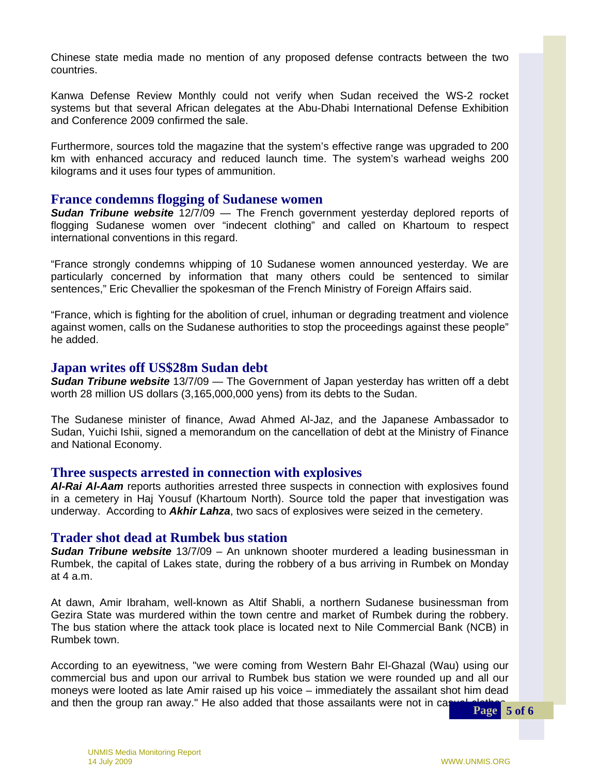Chinese state media made no mention of any proposed defense contracts between the two countries.

Kanwa Defense Review Monthly could not verify when Sudan received the WS-2 rocket systems but that several African delegates at the Abu-Dhabi International Defense Exhibition and Conference 2009 confirmed the sale.

Furthermore, sources told the magazine that the system's effective range was upgraded to 200 km with enhanced accuracy and reduced launch time. The system's warhead weighs 200 kilograms and it uses four types of ammunition.

#### **France condemns flogging of Sudanese women**

*Sudan Tribune website* 12/7/09 — The French government yesterday deplored reports of flogging Sudanese women over "indecent clothing" and called on Khartoum to respect international conventions in this regard.

"France strongly condemns whipping of 10 Sudanese women announced yesterday. We are particularly concerned by information that many others could be sentenced to similar sentences," Eric Chevallier the spokesman of the French Ministry of Foreign Affairs said.

"France, which is fighting for the abolition of cruel, inhuman or degrading treatment and violence against women, calls on the Sudanese authorities to stop the proceedings against these people" he added.

#### **Japan writes off US\$28m Sudan debt**

*Sudan Tribune website* 13/7/09 — The Government of Japan yesterday has written off a debt worth 28 million US dollars (3,165,000,000 yens) from its debts to the Sudan.

 The Sudanese minister of finance, Awad Ahmed Al-Jaz, and the Japanese Ambassador to Sudan, Yuichi Ishii, signed a memorandum on the cancellation of debt at the Ministry of Finance and National Economy.

#### **Three suspects arrested in connection with explosives**

*Al-Rai Al-Aam* reports authorities arrested three suspects in connection with explosives found in a cemetery in Haj Yousuf (Khartoum North). Source told the paper that investigation was underway. According to *Akhir Lahza*, two sacs of explosives were seized in the cemetery.

#### **Trader shot dead at Rumbek bus station**

*Sudan Tribune website* 13/7/09 – An unknown shooter murdered a leading businessman in Rumbek, the capital of Lakes state, during the robbery of a bus arriving in Rumbek on Monday at 4 a.m.

 At dawn, Amir Ibraham, well-known as Altif Shabli, a northern Sudanese businessman from Gezira State was murdered within the town centre and market of Rumbek during the robbery. The bus station where the attack took place is located next to Nile Commercial Bank (NCB) in Rumbek town.

According to an eyewitness, "we were coming from Western Bahr El-Ghazal (Wau) using our commercial bus and upon our arrival to Rumbek bus station we were rounded up and all our moneys were looted as late Amir raised up his voice – immediately the assailant shot him dead and then the group ran away." He also added that those assailants were not in casual clatter **Page** 5 of 6